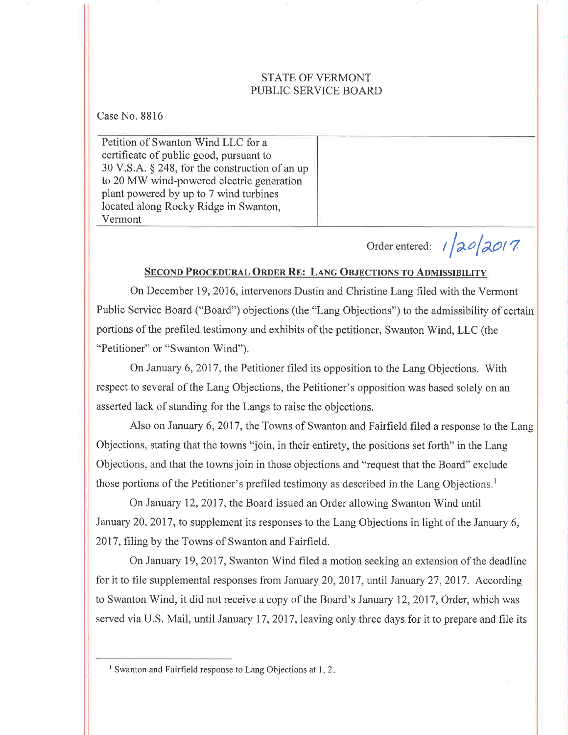#### STATE OF VERMONT PUBLIC SERVICE BOARD

Case No. 8816

Petition of Swanton Wind LLC for a certificate of public good, pursuant to 30 V.S.A. \$ 248, for the construction of an up to 20 MW wind-powered electric generation plant powered by up to 7 wind turbines located along Rocky Ridge in Swanton, Vermont

Order entered: <sup>r</sup>faofaor r

## SECOND PROCEDURAL ORDER RE: LANG OBJECTIONS TO ADMISSIBILITY

On December 19, 2016, intervenors Dustin and Christine Lang filed with the Vermont Public Service Board ("Board") objections (the "Lang Objections") to the admissibility of certain portions of the prefiled testimony and exhibits of the petitioner, Swanton Wind, LLC (the "Petitioner" or "Swanton Wind").

On January 6,2017, the Petitioner filed its opposition to the Lang Objections. With respect to several of the Lang Objections, the Petitioner's opposition was based solely on an asserted lack of standing for the Langs to raise the objections.

Also on January 6, 2017, the Towns of Swanton and Fairfield filed a response to the Lang Objections, stating that the towns "join, in their entirety, the positions set forth" in the Lang Objections, and that the towns join in those objections and "request that the Board" exclude those portions of the Petitioner's prefiled testimony as described in the Lang Objections.<sup>1</sup>

On January 12,2017, the Board issued an Order allowing Swanton Wind until January 20,2017, to supplement its responses to the Lang Objections in light of the January 6, 2017, filing by the Towns of Swanton and Fairfield.

On January 19,2017, Swanton Wind filed a motion seeking an extension of the deadline for it to file supplemental responses from January 20, 2017, until January 27, 2017. According to Swanton 'Wind, it did not receive a copy of the Board's January 12,2017, Order, which was served via U.S. Mail, until January 17, 2017, leaving only three days for it to prepare and file its

<sup>&</sup>lt;sup>1</sup> Swanton and Fairfield response to Lang Objections at 1, 2.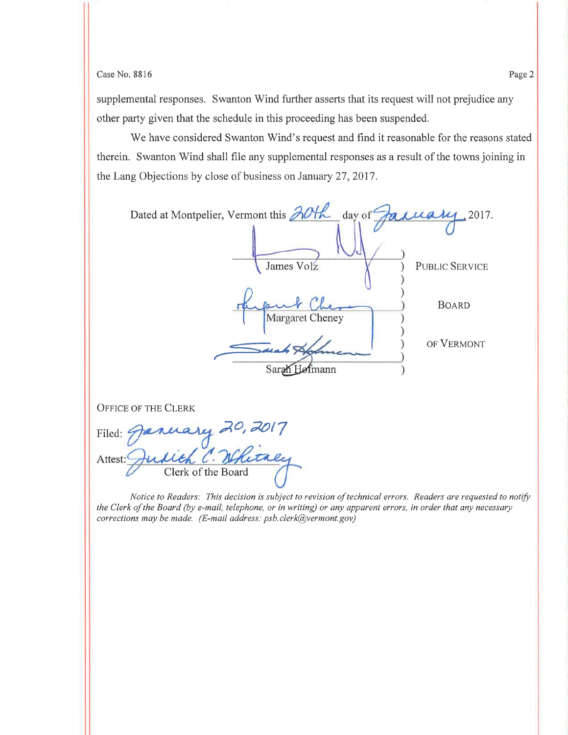### $\cos 8816$  Page 2

supplemental responses. Swanton Wind further asserts that its request will not prejudice any other party given that the schedule in this proceeding has been suspended.

We have considered Swanton Wind's request and find it reasonable for the reasons stated therein. Swanton Wind shall file any supplemental responses as a result of the towns joining in the Lang Objections by close of business on January 27,2017.

| Dated at Montpelier, Vermont this 20th<br>day of | taxuary 2017.         |
|--------------------------------------------------|-----------------------|
| James Volz                                       | <b>PUBLIC SERVICE</b> |
| Margaret Cheney                                  | <b>BOARD</b>          |
| Sara<br>mann                                     | OF VERMONT            |
|                                                  |                       |

OFFICE OF THE CLERK

Filed: January 20, 2017 Attest: Clerk of the Board

Notice to Readers: This decision is subject to revision of technical errors. Readers are requested to notify the Clerk of the Board (by e-mail, telephone, or in writing) or any apparent errors, in order that any necessary corrections may be made. (E-mail address: psb.clerk@vermont.gov)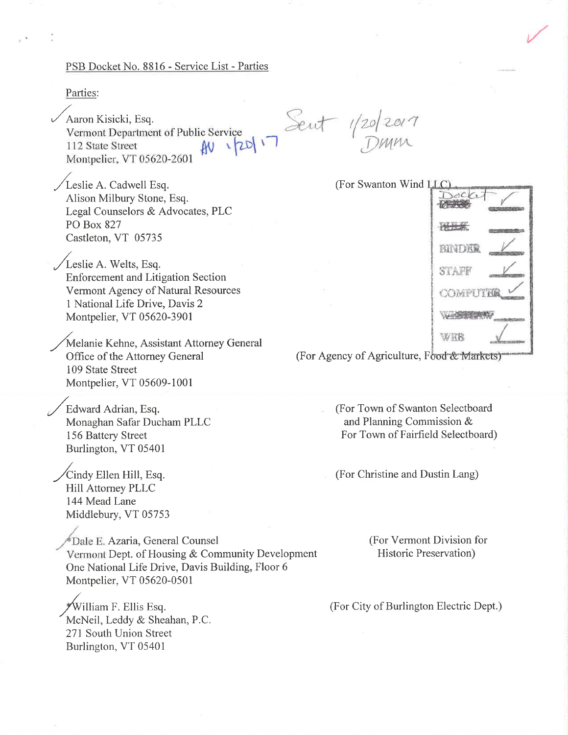#### PSB Docket No. 8816 - Service List - Parties

Parties:

Aaron Kisicki, Esq. Vermont Department of Public Service 112 State Street Montpelier, VT 05620-2601

Exercice Sent 1/20/2017

Leslie A. Cadwell Esq. Alison Milbury Stone, Esq. Legal Counselors & Advocates, PLC PO Box 827 Castleton, VT 05735

Leslie A. Welts, Esq. **Enforcement and Litigation Section** Vermont Agency of Natural Resources 1 National Life Drive, Davis 2 Montpelier, VT 05620-3901

Melanie Kehne, Assistant Attorney General Office of the Attorney General 109 State Street Montpelier, VT 05609-1001

Edward Adrian, Esq. Monaghan Safar Ducham PLLC 156 Battery Street Burlington, VT 05401

Cindy Ellen Hill, Esq. Hill Attorney PLLC 144 Mead Lane Middlebury, VT 05753

<sup>#</sup>Dale E. Azaria, General Counsel Vermont Dept. of Housing & Community Development One National Life Drive, Davis Building, Floor 6 Montpelier, VT 05620-0501

\*William F. Ellis Esq. McNeil, Leddy & Sheahan, P.C. 271 South Union Street Burlington, VT 05401

(For Swanton Wind LLC)



(For Agency of Agriculture, Food & Markets)

(For Town of Swanton Selectboard and Planning Commission & For Town of Fairfield Selectboard)

(For Christine and Dustin Lang)

(For Vermont Division for **Historic Preservation**)

(For City of Burlington Electric Dept.)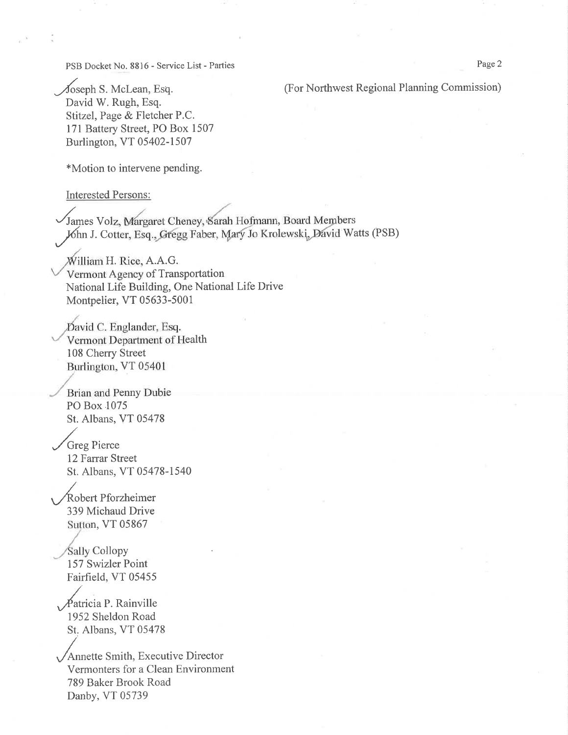PSB Docket No. 8816 - Service List - Parties

(For Northwest Regional Planning Commission)

Joseph S. McLean, Esq. David W. Rugh, Esq. Stitzel, Page & Fletcher P.C. 171 Battery Street, PO Box 1507 Burlington, VT 05402-1507

\*Motion to intervene pending.

**Interested Persons:** 

James Volz, Margaret Cheney, Sarah Hofmann, Board Members Jóhn J. Cotter, Esq., Gregg Faber, Mary Jo Krolewski, David Watts (PSB)

William H. Rice, A.A.G. Vermont Agency of Transportation National Life Building, One National Life Drive Montpelier, VT 05633-5001

David C. Englander, Esq. Vermont Department of Health 108 Cherry Street Burlington, VT 05401

Brian and Penny Dubie PO Box 1075 St. Albans, VT 05478

Greg Pierce 12 Farrar Street St. Albans, VT 05478-1540

Robert Pforzheimer 339 Michaud Drive Sutton, VT 05867

**Sally Collopy** 157 Swizler Point Fairfield, VT 05455

Patricia P. Rainville 1952 Sheldon Road St. Albans, VT 05478

Annette Smith, Executive Director Vermonters for a Clean Environment 789 Baker Brook Road Danby, VT 05739

Page 2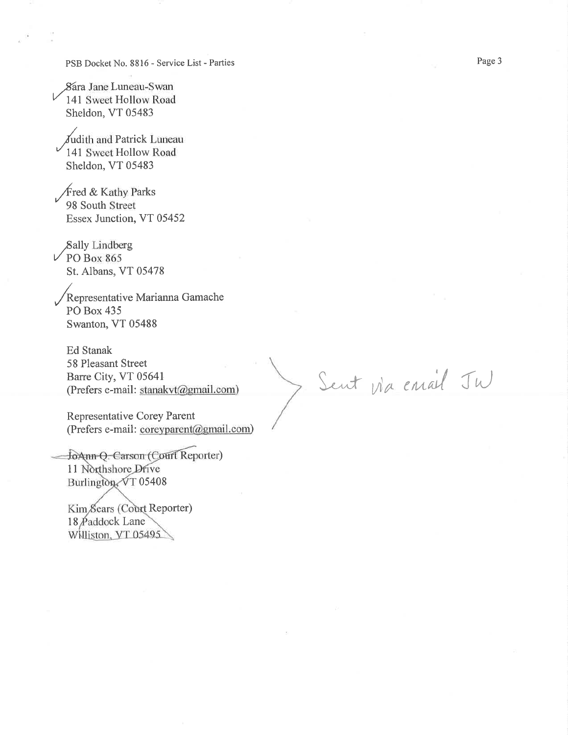PSB Docket No. 8816 - Service List - Parties

Sara Jane Luneau-Swan 141 Sweet Hollow Road Sheldon, VT 05483

Judith and Patrick Luneau 141 Sweet Hollow Road Sheldon, VT 05483

Fred & Kathy Parks 98 South Street Essex Junction, VT 05452

Sally Lindberg  $\vee$  PO Box 865 St. Albans, VT 05478

Representative Marianna Gamache PO Box 435 Swanton, VT 05488

Ed Stanak 58 Pleasant Street Barre City, VT 05641 (Prefers e-mail: stanakvt@gmail.com)

Representative Corey Parent (Prefers e-mail: coreyparent@gmail.com)

JoAnn O. Carson (Court Reporter) 11 Northshore Drive Burlington VT 05408

Kim Sears (Court Reporter) 18 Paddock Lane Williston, VT 05495

Sent via email JW